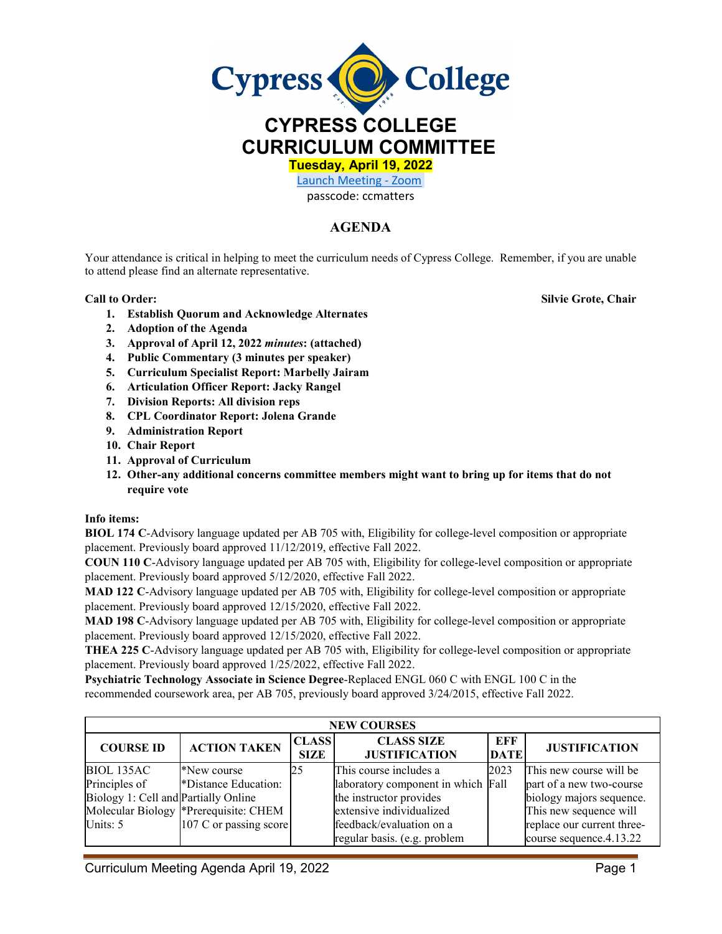

**CURRICULUM COMMITTEE**

**Tuesday, April 19, 2022** 

[Launch Meeting - Zoom](https://cypresscollege-edu.zoom.us/j/96161669542?pwd=OWYraHlaR0UzOE9QYU9NaXlnSjRIZz09#success)  passcode: ccmatters

## **AGENDA**

Your attendance is critical in helping to meet the curriculum needs of Cypress College. Remember, if you are unable to attend please find an alternate representative.

**1. Establish Quorum and Acknowledge Alternates**

**Call to Order: Silvie Grote, Chair**

- **2. Adoption of the Agenda**
- **3. Approval of April 12, 2022** *minutes***: (attached)**
- **4. Public Commentary (3 minutes per speaker)**
- **5. Curriculum Specialist Report: Marbelly Jairam**
- **6. Articulation Officer Report: Jacky Rangel**
- **7. Division Reports: All division reps**
- **8. CPL Coordinator Report: Jolena Grande**
- **9. Administration Report**
- **10. Chair Report**
- **11. Approval of Curriculum**
- **12. Other-any additional concerns committee members might want to bring up for items that do not require vote**

## **Info items:**

**BIOL 174 C**-Advisory language updated per AB 705 with, Eligibility for college-level composition or appropriate placement. Previously board approved 11/12/2019, effective Fall 2022.

**COUN 110 C**-Advisory language updated per AB 705 with, Eligibility for college-level composition or appropriate placement. Previously board approved 5/12/2020, effective Fall 2022.

**MAD 122 C**-Advisory language updated per AB 705 with, Eligibility for college-level composition or appropriate placement. Previously board approved 12/15/2020, effective Fall 2022.

**MAD 198 C**-Advisory language updated per AB 705 with, Eligibility for college-level composition or appropriate placement. Previously board approved 12/15/2020, effective Fall 2022.

**THEA 225 C**-Advisory language updated per AB 705 with, Eligibility for college-level composition or appropriate placement. Previously board approved 1/25/2022, effective Fall 2022.

**Psychiatric Technology Associate in Science Degree**-Replaced ENGL 060 C with ENGL 100 C in the recommended coursework area, per AB 705, previously board approved 3/24/2015, effective Fall 2022.

| <b>NEW COURSES</b>                   |                                       |                             |                                           |                    |                            |  |  |  |
|--------------------------------------|---------------------------------------|-----------------------------|-------------------------------------------|--------------------|----------------------------|--|--|--|
| <b>COURSE ID</b>                     | <b>ACTION TAKEN</b>                   | <b>CLASS</b><br><b>SIZE</b> | <b>CLASS SIZE</b><br><b>JUSTIFICATION</b> | EFF<br><b>DATE</b> | <b>JUSTIFICATION</b>       |  |  |  |
| BIOL 135AC                           | *New course                           | 25                          | This course includes a                    | 2023               | This new course will be    |  |  |  |
| Principles of                        | *Distance Education:                  |                             | laboratory component in which Fall        |                    | part of a new two-course   |  |  |  |
| Biology 1: Cell and Partially Online |                                       |                             | the instructor provides                   |                    | biology majors sequence.   |  |  |  |
|                                      | Molecular Biology *Prerequisite: CHEM |                             | extensive individualized                  |                    | This new sequence will     |  |  |  |
| Units: 5                             | 107 C or passing score                |                             | feedback/evaluation on a                  |                    | replace our current three- |  |  |  |
|                                      |                                       |                             | regular basis. (e.g. problem              |                    | course sequence.4.13.22    |  |  |  |